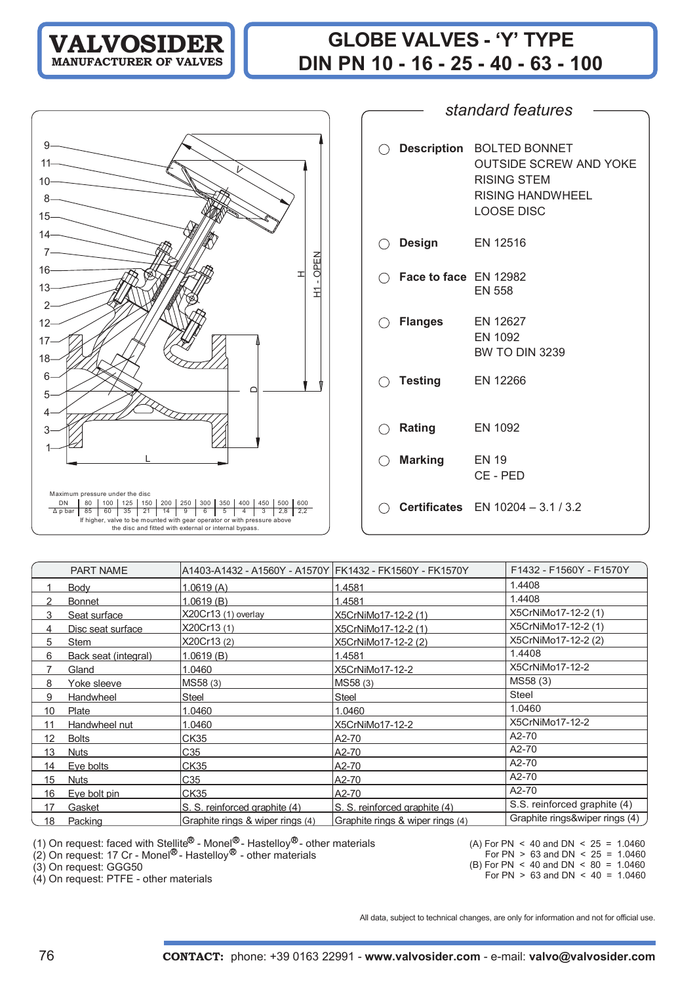# **GLOBE VALVES - 'Y' TYPE DIN PN 10 - 16 - 25 - 40 - 63 - 100**

L D $\top$ NEPO- 1 HMaximum pressure under the disc DN 80 100 125 150 200 250 300 350 400 450 500 600 Δ p bar 85 60 35 21 14 9654 3 2,8 2,2 If higher, valve to be mounted with gear operator or with pressure the disc and fitted with external or internal bypass.

V

| $\bigcirc$ Description          | <b>BOLTED BONNET</b><br><b>OUTSIDE SCREW AND YOKE</b><br><b>RISING STEM</b><br>RISING HANDWHEEL<br><b>LOOSE DISC</b> |
|---------------------------------|----------------------------------------------------------------------------------------------------------------------|
| $\bigcirc$ Design               | EN 12516                                                                                                             |
| $\bigcap$ Face to face EN 12982 | <b>EN 558</b>                                                                                                        |
| $\bigcirc$ Flanges              | EN 12627<br>EN 1092<br><b>BW TO DIN 3239</b>                                                                         |
| $\bigcirc$ Testing              | EN 12266                                                                                                             |
| $\bigcirc$ Rating               | EN 1092                                                                                                              |
| $\bigcirc$ Marking              | <b>EN 19</b><br>CE - PED                                                                                             |
|                                 | <b>Certificates</b> $EN 10204 - 3.1 / 3.2$                                                                           |

*standard features*

|                | <b>PART NAME</b>     | A1403-A1432 - A1560Y - A1570Y   FK1432 - FK1560Y - FK1570Y |                                  | F1432 - F1560Y - F1570Y        |
|----------------|----------------------|------------------------------------------------------------|----------------------------------|--------------------------------|
|                | Body                 | 1.0619(A)                                                  | 1.4581                           | 1.4408                         |
| $\mathfrak{p}$ | <b>Bonnet</b>        | 1.0619(B)                                                  | 1.4581                           | 1.4408                         |
| 3              | Seat surface         | X20Cr13 (1) overlay                                        | X5CrNiMo17-12-2 (1)              | X5CrNiMo17-12-2 (1)            |
| 4              | Disc seat surface    | X20Cr13 (1)                                                | X5CrNiMo17-12-2 (1)              | X5CrNiMo17-12-2 (1)            |
| 5              | Stem                 | X20Cr13 (2)                                                | X5CrNiMo17-12-2 (2)              | X5CrNiMo17-12-2 (2)            |
| 6              | Back seat (integral) | 1.0619(B)                                                  | 1.4581                           | 1.4408                         |
|                | Gland                | 1.0460                                                     | X5CrNiMo17-12-2                  | X5CrNiMo17-12-2                |
| 8              | Yoke sleeve          | MS58 (3)                                                   | MS58 (3)                         | MS58 (3)                       |
| 9              | Handwheel            | Steel                                                      | <b>Steel</b>                     | <b>Steel</b>                   |
| 10             | Plate                | 1.0460                                                     | 1.0460                           | 1.0460                         |
| 11             | Handwheel nut        | 1.0460                                                     | X5CrNiMo17-12-2                  | X5CrNiMo17-12-2                |
| 12             | <b>Bolts</b>         | <b>CK35</b>                                                | A2-70                            | A2-70                          |
| 13             | <b>Nuts</b>          | C35                                                        | A2-70                            | A2-70                          |
| 14             | Eye bolts            | <b>CK35</b>                                                | A2-70                            | A2-70                          |
| 15             | <b>Nuts</b>          | C <sub>35</sub>                                            | A2-70                            | A2-70                          |
| 16             | Eye bolt pin         | <b>CK35</b>                                                | A2-70                            | A2-70                          |
| 17             | Gasket               | S. S. reinforced graphite (4)                              | S. S. reinforced graphite (4)    | S.S. reinforced graphite (4)   |
| 18             | Packing              | Graphite rings & wiper rings (4)                           | Graphite rings & wiper rings (4) | Graphite rings&wiper rings (4) |

(1) On request: faced with Stellite<sup>ry</sup> - Monel<sup>ry</sup> - Hastelloy<sup>ry</sup> - other materials

(2) On request: 17 Cr - Monel<sup>ov</sup> - Hastelloy<sup>ov</sup> - other materials

(3) On request: GGG50

(4) On request: PTFE - other materials

(A) For PN  $\leq$  40 and DN  $\leq$  25 = 1.0460 For PN  $> 63$  and DN  $< 25 = 1.0460$ 

(B) For PN < 40 and DN < 80 = 1.0460

For PN  $> 63$  and DN  $< 40 = 1.0460$ 

All data, subject to technical changes, are only for information and not for official use.

13

16

7 14

8

10 11

9

15

2

12

18 17

5

6

1 3 4